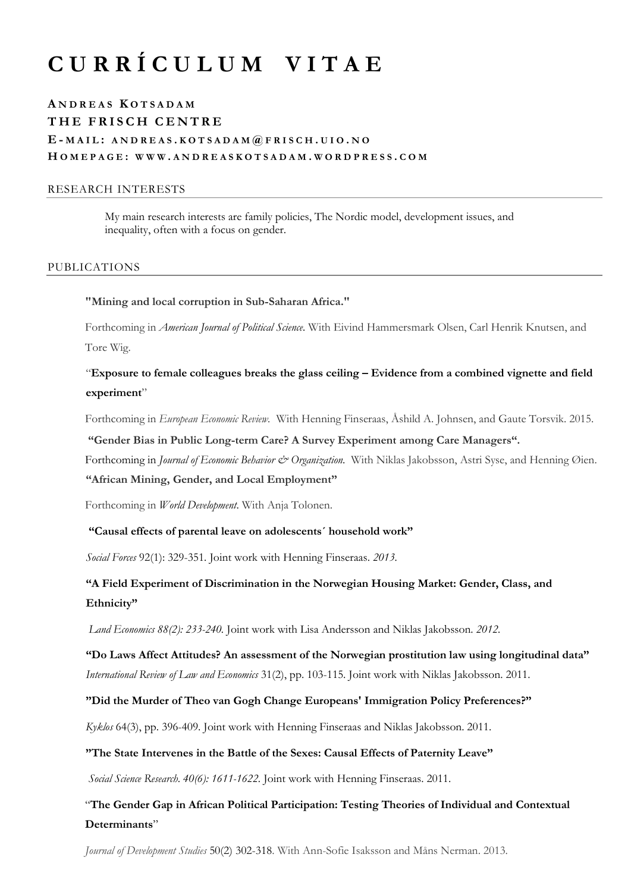# **C U R R Í C U L U M V I T A E**

# **A NDREAS K OTSADAM THE FRISCH CENTRE E - MAIL : ANDREAS . KOTSADAM @ FRISCH . UIO . N O H OMEPAGE : WWW . ANDREASKOTSADAM . WORDPRESS . COM**

## RESEARCH INTERESTS

My main research interests are family policies, The Nordic model, development issues, and inequality, often with a focus on gender.

#### PUBLICATIONS

**"Mining and local corruption in Sub-Saharan Africa."** 

Forthcoming in *American Journal of Political Science.* With Eivind Hammersmark Olsen, Carl Henrik Knutsen, and Tore Wig.

"**Exposure to female colleagues breaks the glass ceiling – Evidence from a combined vignette and field experiment**"

Forthcoming in *European Economic Review.* With Henning Finseraas, Åshild A. Johnsen, and Gaute Torsvik. 2015.

**"Gender Bias in Public Long-term Care? A Survey Experiment among Care Managers".**

Forthcoming in *Journal of Economic Behavior & Organization*. With Niklas Jakobsson, Astri Syse, and Henning Øien.

# **"African Mining, Gender, and Local Employment"**

Forthcoming in *World Development*. With Anja Tolonen.

#### **"Causal effects of parental leave on adolescents´ household work"**

*Social Forces* 92(1): 329-351*.* Joint work with Henning Finseraas. *2013.*

# **"A Field Experiment of Discrimination in the Norwegian Housing Market: Gender, Class, and Ethnicity"**

*Land Economics 88(2): 233-240.* Joint work with Lisa Andersson and Niklas Jakobsson. *2012.*

# **"Do Laws Affect Attitudes? An assessment of the Norwegian prostitution law using longitudinal data"** *International Review of Law and Economics* 31(2), pp. 103-115. Joint work with Niklas Jakobsson. 2011.

#### **"Did the Murder of Theo van Gogh Change Europeans' Immigration Policy Preferences?"**

*Kyklos* 64(3), pp. 396-409. Joint work with Henning Finseraas and Niklas Jakobsson. 2011.

#### **"The State Intervenes in the Battle of the Sexes: Causal Effects of Paternity Leave"**

*Social Science Research*. *40(6): 1611-1622.* Joint work with Henning Finseraas. 2011.

# "**The Gender Gap in African Political Participation: Testing Theories of Individual and Contextual Determinants**"

*Journal of Development Studies* 50(2) 302-318. With Ann-Sofie Isaksson and Måns Nerman. 2013.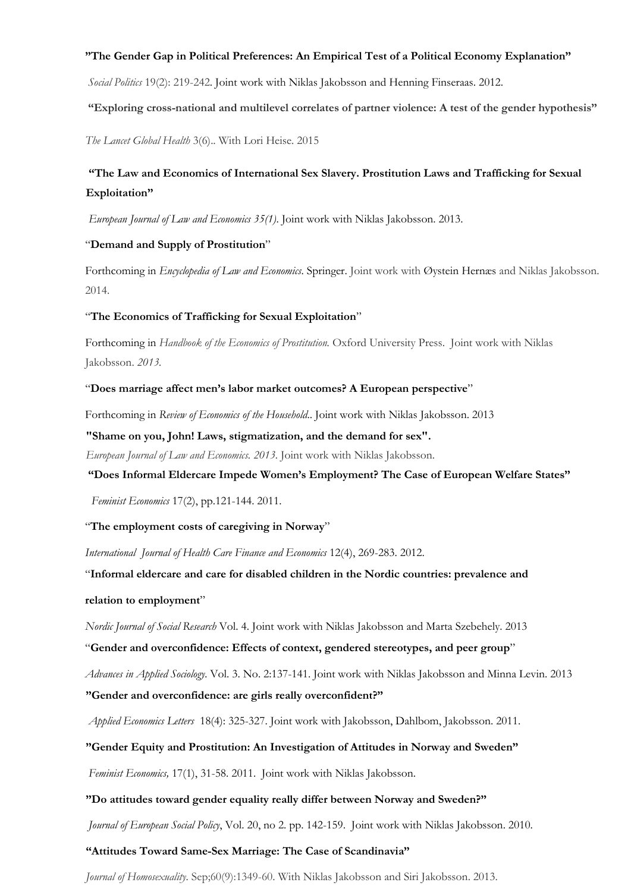#### **"The Gender Gap in Political Preferences: An Empirical Test of a Political Economy Explanation"**

*Social Politics* 19(2): 219-242. Joint work with Niklas Jakobsson and Henning Finseraas. 2012.

**"Exploring cross-national and multilevel correlates of partner violence: A test of the gender hypothesis"**

*The Lancet Global Health* 3(6).. With Lori Heise. 2015

# **"The Law and Economics of International Sex Slavery. Prostitution Laws and Trafficking for Sexual Exploitation"**

*European Journal of Law and Economics 35(1)*. Joint work with Niklas Jakobsson. 2013.

### "**Demand and Supply of Prostitution**"

Forthcoming in *Encyclopedia of Law and Economics*. Springer. Joint work with Øystein Hernæs and Niklas Jakobsson. 2014.

#### "**The Economics of Trafficking for Sexual Exploitation**"

Forthcoming in *Handbook of the Economics of Prostitution.* Oxford University Press. Joint work with Niklas Jakobsson. *2013.*

#### "**Does marriage affect men's labor market outcomes? A European perspective**"

Forthcoming in *Review of Economics of the Household*.. Joint work with Niklas Jakobsson. 2013

**"Shame on you, John! Laws, stigmatization, and the demand for sex".**

*European Journal of Law and Economics. 2013.* Joint work with Niklas Jakobsson.

**"Does Informal Eldercare Impede Women's Employment? The Case of European Welfare States"**

*Feminist Economics* 17(2), pp.121-144. 2011.

# "**[The employment costs of caregiving in Norway](http://link.springer.com/article/10.1007%2Fs10754-012-9116-z)**"

*International Journal of Health Care Finance and Economics* 12(4), 269-283. 2012.

"**Informal eldercare and care for disabled children in the Nordic countries: prevalence and relation to employment**"

*Nordic Journal of Social Research* Vol. 4. Joint work with Niklas Jakobsson and Marta Szebehely. 2013

"**Gender and overconfidence: Effects of context, gendered stereotypes, and peer group**"

*Advances in Applied Sociology.* Vol. 3. No. 2:137-141. Joint work with Niklas Jakobsson and Minna Levin. 2013 **"Gender and overconfidence: are girls really overconfident?"**

*Applied Economics Letters* 18(4): 325-327. Joint work with Jakobsson, Dahlbom, Jakobsson. 2011.

# **"Gender Equity and Prostitution: An Investigation of Attitudes in Norway and Sweden"**

*Feminist Economics,* 17(1), 31-58. 2011. Joint work with Niklas Jakobsson.

## **"Do attitudes toward gender equality really differ between Norway and Sweden?"**

*Journal of European Social Policy*, Vol. 20, no 2. pp. 142-159. Joint work with Niklas Jakobsson. 2010.

# **"Attitudes Toward Same-Sex Marriage: The Case of Scandinavia"**

*Journal of Homosexuality.* Sep;60(9):1349-60. With Niklas Jakobsson and Siri Jakobsson. 2013.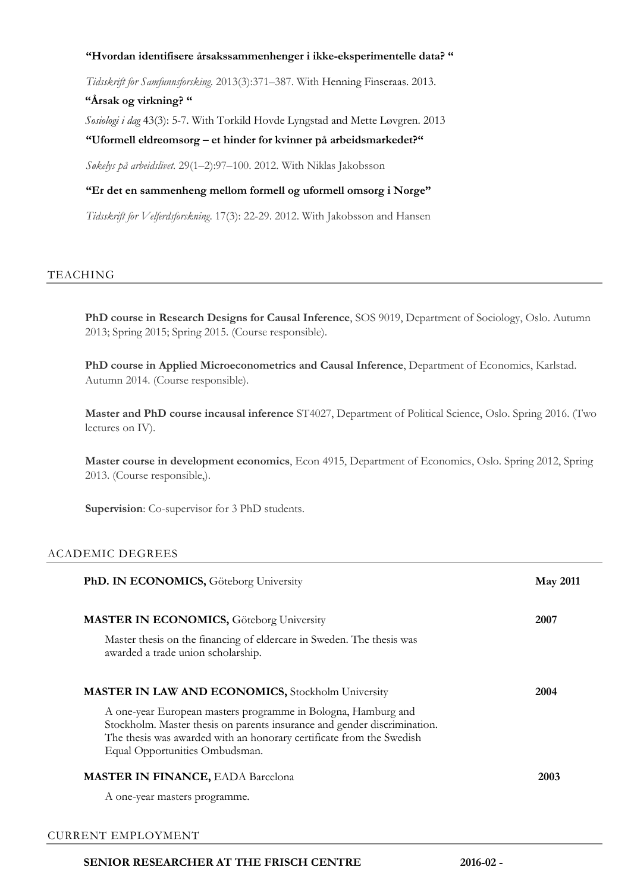## **"Hvordan identifisere årsakssammenhenger i ikke-eksperimentelle data? "**

*Tidsskrift for Samfunnsforsking.* 2013(3):371–387. With Henning Finseraas. 2013.

## **"Årsak og virkning? "**

*Sosiologi i dag* 43(3): 5-7. With Torkild Hovde Lyngstad and Mette Løvgren. 2013

## **"Uformell eldreomsorg – et hinder for kvinner på arbeidsmarkedet?"**

*Søkelys på arbeidslivet.* 29(1–2):97–100. 2012. With Niklas Jakobsson

## **"Er det en sammenheng mellom formell og uformell omsorg i Norge"**

*Tidsskrift for Velferdsforskning*. 17(3): 22-29. 2012. With Jakobsson and Hansen

## TEACHING

**PhD course in Research Designs for Causal Inference**, SOS 9019, Department of Sociology, Oslo. Autumn 2013; Spring 2015; Spring 2015. (Course responsible).

**PhD course in Applied Microeconometrics and Causal Inference**, Department of Economics, Karlstad. Autumn 2014. (Course responsible).

**Master and PhD course incausal inference** ST4027, Department of Political Science, Oslo. Spring 2016. (Two lectures on IV).

**Master course in development economics**, Econ 4915, Department of Economics, Oslo. Spring 2012, Spring 2013. (Course responsible,).

**Supervision**: Co-supervisor for 3 PhD students.

# ACADEMIC DEGREES

| PhD. IN ECONOMICS, Göteborg University                                                                                                                                                                | <b>May 2011</b> |
|-------------------------------------------------------------------------------------------------------------------------------------------------------------------------------------------------------|-----------------|
| <b>MASTER IN ECONOMICS, Göteborg University</b><br>Master thesis on the financing of eldercare in Sweden. The thesis was                                                                              | 2007            |
| awarded a trade union scholarship.                                                                                                                                                                    |                 |
| <b>MASTER IN LAW AND ECONOMICS, Stockholm University</b><br>A one-year European masters programme in Bologna, Hamburg and<br>Stockholm. Master thesis on parents insurance and gender discrimination. | 2004            |
| The thesis was awarded with an honorary certificate from the Swedish<br>Equal Opportunities Ombudsman.                                                                                                |                 |
| <b>MASTER IN FINANCE, EADA Barcelona</b><br>A one-year masters programme.                                                                                                                             | 2003            |

#### CURRENT EMPLOYMENT

# **SENIOR RESEARCHER AT THE FRISCH CENTRE 2016-02 -**